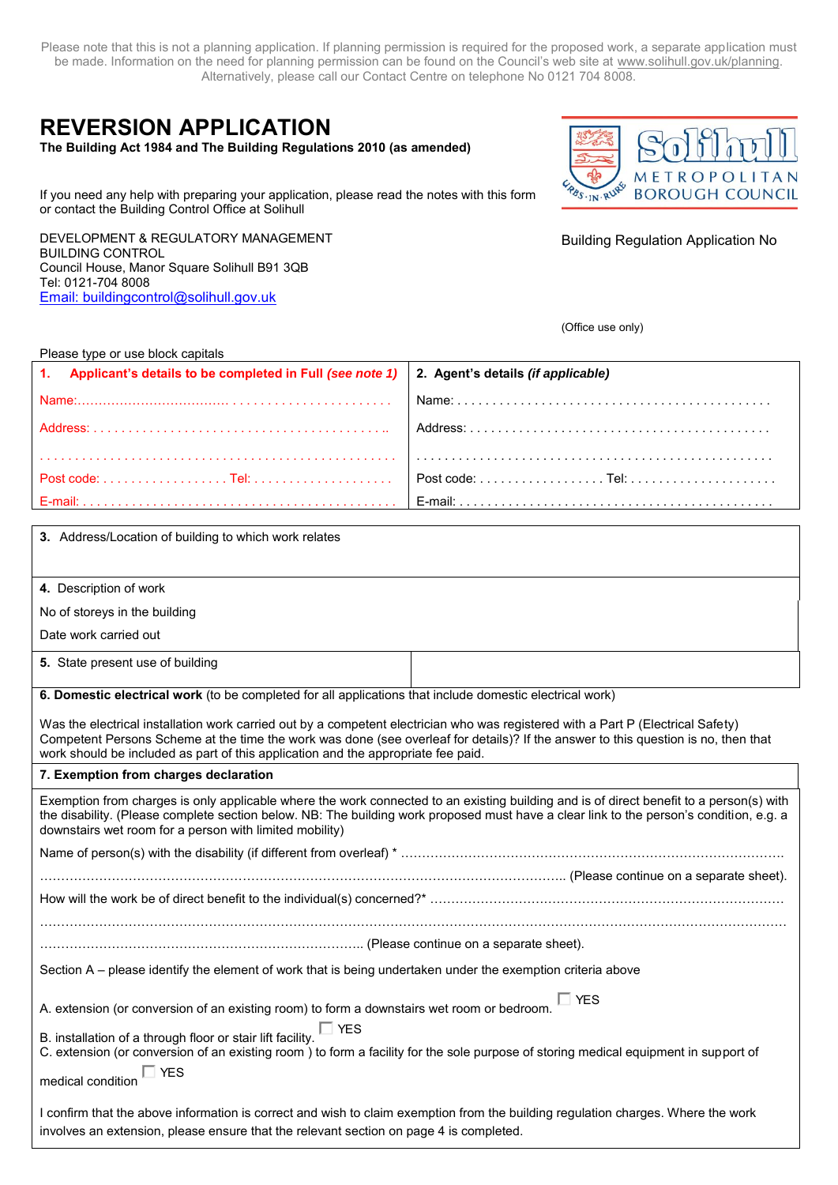Please note that this is not a planning application. If planning permission is required for the proposed work, a separate application must be made. Information on the need for planning permission can be found on the Council's web site at [www.solihull.gov.uk/planning.](http://www.solihull.gov.uk/planning) Alternatively, please call our Contact Centre on telephone No 0121 704 8008.

# **REVERSION APPLICATION**

**The Building Act 1984 and The Building Regulations 2010 (as amended)**

PBS . IN . RUPS **BOROUGH COUNCIL** 

If you need any help with preparing your application, please read the notes with this form or contact the Building Control Office at Solihull

DEVELOPMENT & REGULATORY MANAGEMENT BUILDING CONTROL Council House, Manor Square Solihull B91 3QB Tel: 0121-704 8008 [Email: buildingcontrol@solihull.gov.uk](mailto:Email:%20buildingcontrol@solihull.gov.uk)

Building Regulation Application No

(Office use only)

| Please type or use block capitals |  |  |
|-----------------------------------|--|--|
|-----------------------------------|--|--|

| 1. Applicant's details to be completed in Full (see note 1)   2. Agent's details (if applicable) |  |
|--------------------------------------------------------------------------------------------------|--|
|                                                                                                  |  |
|                                                                                                  |  |
|                                                                                                  |  |
|                                                                                                  |  |
|                                                                                                  |  |

**4.** Description of work

No of storeys in the building

Date work carried out

**5.** State present use of building

**6. Domestic electrical work** (to be completed for all applications that include domestic electrical work)

Was the electrical installation work carried out by a competent electrician who was registered with a Part P (Electrical Safety) Competent Persons Scheme at the time the work was done (see overleaf for details)? If the answer to this question is no, then that work should be included as part of this application and the appropriate fee paid.

# **7. Exemption from charges declaration**

| Exemption from charges is only applicable where the work connected to an existing building and is of direct benefit to a person(s) with<br>the disability. (Please complete section below. NB: The building work proposed must have a clear link to the person's condition, e.g. a<br>downstairs wet room for a person with limited mobility) |
|-----------------------------------------------------------------------------------------------------------------------------------------------------------------------------------------------------------------------------------------------------------------------------------------------------------------------------------------------|
|                                                                                                                                                                                                                                                                                                                                               |
|                                                                                                                                                                                                                                                                                                                                               |
|                                                                                                                                                                                                                                                                                                                                               |

……………………………………………………………………………………………………………………………………………………………

………………………………………………………………….. (Please continue on a separate sheet).

Section A – please identify the element of work that is being undertaken under the exemption criteria above

A. extension (or conversion of an existing room) to form a downstairs wet room or bedroom. YES

B. installation of a through floor or stair lift facility.  $\Box$  YES

C. extension (or conversion of an existing room ) to form a facility for the sole purpose of storing medical equipment in support of

medical condition YES

I confirm that the above information is correct and wish to claim exemption from the building regulation charges. Where the work involves an extension, please ensure that the relevant section on page 4 is completed.